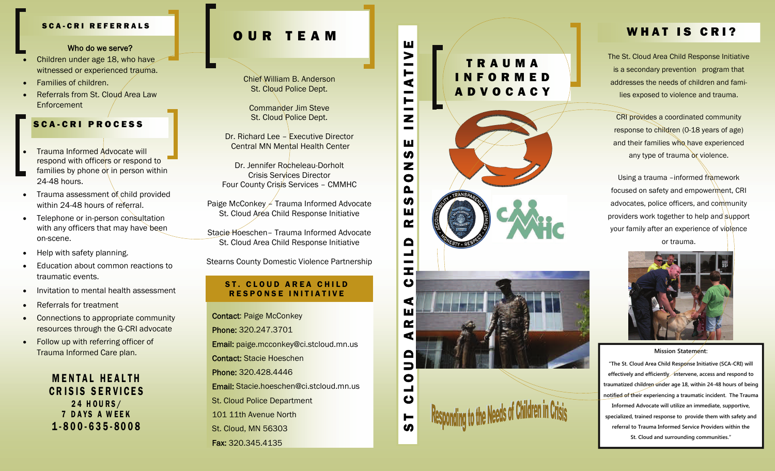#### SCA-CRI REFERRALS

#### Who do we serve?

- . Children under age 18, who have witnessed or experienced trauma.
- $\bullet$ Families of children.
- $\bullet$  Referrals from St. Cloud Area Law **Enforcement**

# SCA-CRI PROCESS

- $\bullet$  Trauma Informed Advocate will respond with officers or respond to families by phone or in person within 24-48 hours.
- $\bullet$  Trauma assessment of child provided within 24-48 hours of referral.
- $\bullet$  Telephone or in-person consultation with any officers that may have been on-scene.
- $\bullet$ Help with safety planning.
- $\bullet$  Education about common reactions to traumatic events.
- $\bullet$ Invitation to mental health assessment
- $\bullet$ Referrals for treatment
- $\bullet$  Connections to appropriate community resources through the G-CRI advocate
- $\bullet$  Follow up with referring officer of Trauma Informed Care plan.

# OUR TEAM

Chief William B. Anderson St. Cloud Police Dept.

Commander Jim Steve St. Cloud Police Dept.

Dr. Richard Lee – Executive Director Central MN Mental Health Center

Dr. Jennifer Rocheleau-Dorholt Crisis Services Director Four County Crisis Services – CMMHC

Paige McConkey – Trauma Informed Advocate St. Cloud Area Child Response Initiative

Stacie Hoeschen– Trauma Informed Advocate St. Cloud Area Child Response Initiative

Stearns County Domestic Violence Partnership

### ST. CLOUD AREA CHILD RESPONSE INITIATIVE

Who do we serve?<br>
Stessel or experienced frauma.<br>
Hilas of children.<br>
The Stessel or experienced frauma.<br>
St. Cloud Policic Dept.<br>
Commander Jim Steve<br>
Commander Jim Steve<br>
Commander Jim Steve<br>
Commander Jim Steve<br>
Command Contact: Paige McConkey Phone: 320.247.3701 Email: paige.mcconkey@ci.stcloud.mn.us Contact: Stacie Hoeschen Phone: 320.428.4446 Email: Stacie.hoeschen@ci.stcloud.mn.us St. Cloud Police Department 101 11th Avenue North St. Cloud, MN 56303 Fax: 320.345.4135

# TRAUMA INFORMED **ADVOCACY**



# WHAT IS CRI?

The St. Cloud Area Child Response Initiative is a secondary prevention program that addresses the needs of children and families exposed to violence and trauma.

CRI provides a coordinated community response to children (0-18 years of age) and their families who have experienced any type of trauma or violence.

Using a trauma –informed framework focused on safety and empowerment, CRI advocates, police officers, and community providers work together to help and support your family after an experience of violence or trauma.



#### **Mission Statement:**

**"The St. Cloud Area Child Response Initiative (SCA-CRI) will effectively and efficiently intervene, access and respond to traumatized children under age 18, within 24-48 hours of being notified of their experiencing a traumatic incident. The Trauma Informed Advocate will utilize an immediate, supportive, specialized, trained response to provide them with safety and referral to Trauma Informed Service Providers within the St. Cloud and surrounding communities."**